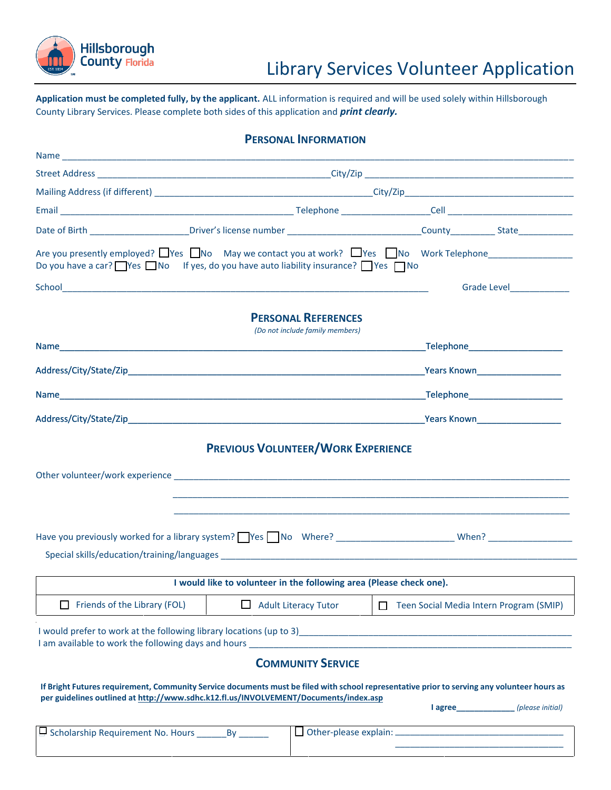

## Library Services Volunteer Application

**Application must be completed fully, by the applicant.** ALL information is required and will be used solely within Hillsborough County Library Services. Please complete both sides of this application and *print clearly.*

| <b>PERSONAL INFORMATION</b>                                                                                                                                                                                                                                                |                                                                     |                             |  |                                         |  |  |
|----------------------------------------------------------------------------------------------------------------------------------------------------------------------------------------------------------------------------------------------------------------------------|---------------------------------------------------------------------|-----------------------------|--|-----------------------------------------|--|--|
|                                                                                                                                                                                                                                                                            |                                                                     |                             |  |                                         |  |  |
|                                                                                                                                                                                                                                                                            |                                                                     |                             |  |                                         |  |  |
|                                                                                                                                                                                                                                                                            |                                                                     |                             |  |                                         |  |  |
|                                                                                                                                                                                                                                                                            |                                                                     |                             |  |                                         |  |  |
| Date of Birth ________________________Driver's license number ________________________________County _____________State _______________                                                                                                                                    |                                                                     |                             |  |                                         |  |  |
| Are you presently employed? Nes No May we contact you at work? Nes No Work Telephone<br>Do you have a car? $\Box$ Yes $\Box$ No If yes, do you have auto liability insurance? $\Box$ Yes $\Box$ No                                                                         |                                                                     |                             |  |                                         |  |  |
|                                                                                                                                                                                                                                                                            |                                                                     |                             |  | Grade Level______________               |  |  |
|                                                                                                                                                                                                                                                                            | <b>PERSONAL REFERENCES</b><br>(Do not include family members)       |                             |  |                                         |  |  |
|                                                                                                                                                                                                                                                                            |                                                                     |                             |  |                                         |  |  |
|                                                                                                                                                                                                                                                                            |                                                                     |                             |  |                                         |  |  |
|                                                                                                                                                                                                                                                                            |                                                                     |                             |  |                                         |  |  |
|                                                                                                                                                                                                                                                                            |                                                                     |                             |  |                                         |  |  |
|                                                                                                                                                                                                                                                                            |                                                                     |                             |  |                                         |  |  |
|                                                                                                                                                                                                                                                                            |                                                                     |                             |  |                                         |  |  |
|                                                                                                                                                                                                                                                                            | I would like to volunteer in the following area (Please check one). |                             |  |                                         |  |  |
| $\Box$ Friends of the Library (FOL)                                                                                                                                                                                                                                        |                                                                     | $\Box$ Adult Literacy Tutor |  | Teen Social Media Intern Program (SMIP) |  |  |
| I would prefer to work at the following library locations (up to 3)<br>1 would prefer to work at the following library locations (up to 3)<br>1<br>I am available to work the following days and hours <b>Community and Community</b> and the second control of the second | <b>COMMUNITY SERVICE</b>                                            |                             |  |                                         |  |  |
| If Bright Futures requirement, Community Service documents must be filed with school representative prior to serving any volunteer hours as<br>per guidelines outlined at http://www.sdhc.k12.fl.us/INVOLVEMENT/Documents/index.asp                                        |                                                                     |                             |  | l agree (please initial)                |  |  |
| Scholarship Requirement No. Hours _________ By ________                                                                                                                                                                                                                    |                                                                     |                             |  |                                         |  |  |